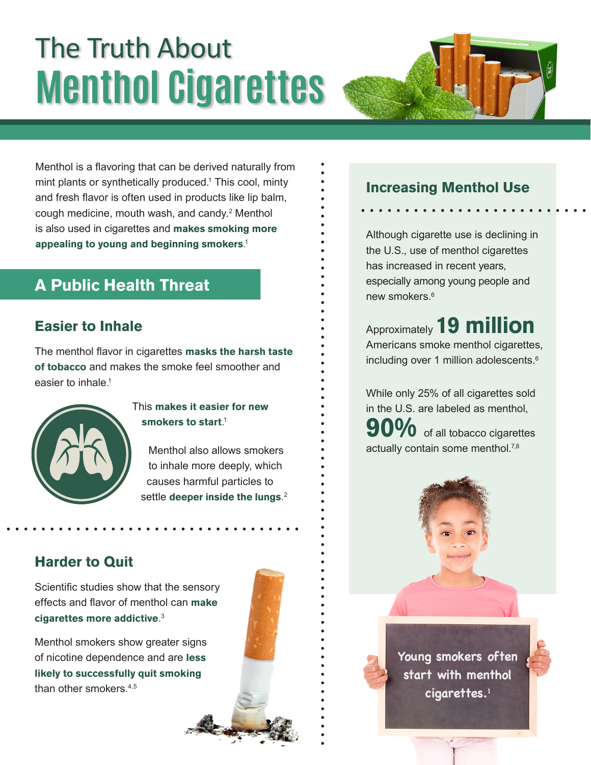# The Truth About **Menthol Cigarettes**

Menthol is a flavoring that can be derived naturally from mint plants or synthetically produced.<sup>1</sup> This cool, minty and fresh flavor is often used in products like lip balm, cough medicine, mouth wash, and candy.<sup>2</sup> Menthol is also used in cigarettes and **makes smoking more appealing to young and beginning smokers**. 1

# **A Public Health Threat**

#### **Easier to Inhale**

The menthol flavor in cigarettes **masks the harsh taste of tobacco** and makes the smoke feel smoother and easier to inhale. 1



#### This **makes it easier for new smokers to start**. 1

Menthol also allows smokers to inhale more deeply, which causes harmful particles to settle **deeper inside the lungs**. 2

#### **Harder to Quit**

Scientific studies show that the sensory effects and flavor of menthol can **make cigarettes more addictive**. 3

Menthol smokers show greater signs of nicotine dependence and are **less likely to successfully quit smoking** than other smokers. 4,5



#### **Increasing Menthol Use**

Although cigarette use is declining in the U.S., use of menthol cigarettes has increased in recent years, especially among young people and new smokers.<sup>6</sup>

Approximately **19 million** Americans smoke menthol cigarettes, including over 1 million adolescents.<sup>6</sup>

While only 25% of all cigarettes sold in the U.S. are labeled as menthol, **90 of all tobacco cigarettes** actually contain some menthol.<sup>7,8</sup>

> **Young smokers often start with menthol cigarettes.1**